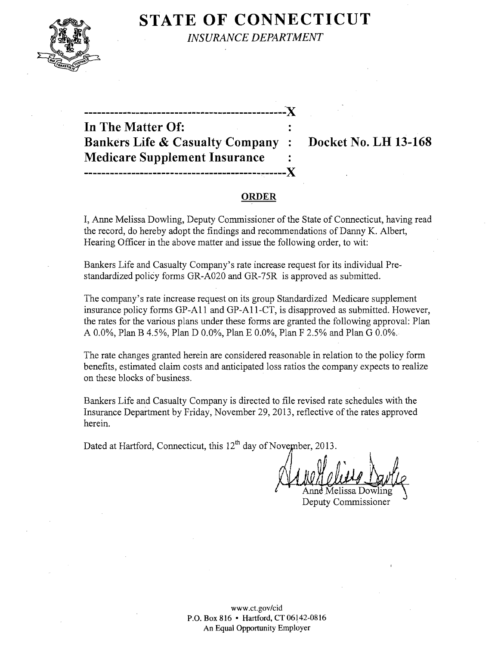

**STATE OF CONNECTICUT** *INSURANCE DEPARTMENT* 

| In The Matter Of:                           |  |
|---------------------------------------------|--|
| <b>Bankers Life &amp; Casualty Company:</b> |  |
| <b>Medicare Supplement Insurance</b>        |  |
|                                             |  |

**Bankers Life &** Casualty Company **: Docket No. LH 13-168** 

# **ORDER**

..`X

I, Anne Melissa Dowling, Deputy Commissioner of the State of Connecticut, having read the record, do hereby adopt the findings and recommendations of Danny K. Albert, Hearing Officer in the above matter and issue the following order, to wit:

Bankers Life and Casualty Company's rate increase request for its individual Prestandardized policy forms OR-A020 and OR-75R is approved as submitted.

The company's rate increase request on its group Standardized Medicare supplement insurance policy forms OP-AII and OP-AII-CT, is disapproved as submitted. However, the rates for the various plans under these forms are granted the following approval: Plan A 0.0%, Plan B 4.5%, Plan D 0.0%, Plan E 0.0%, Plan F 2.5% and Plan G 0.0%.

The rate changes granted herein are considered reasonable in relation to the policy form benefits, estimated claim costs and anticipated loss ratios the company expects to realize on these blocks of business.

Bankers Life and Casualty Company is directed to file revised rate schedules with the Insurance Department by Friday, November 29,2013, reflective of the rates approved herein.

Dated at Hartford, Connecticut, this  $12<sup>th</sup>$  day of November, 2013.

Aelissa Dc Deputy Commissioner

www.ct.gov/cid P.O. Box 816 • Hartford, CT 06142-0816 An Equal Opportunity Employer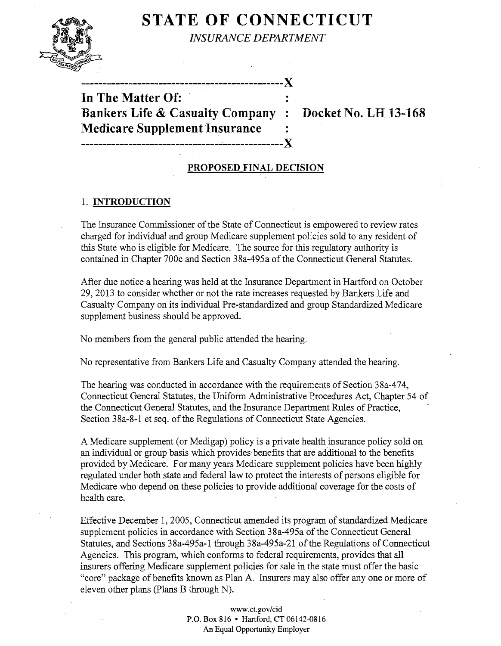# **STATE OF CONNECTICUT**



*INSURANCE DEPARTMENT* 

**-----------------------------------------------)( In The Matter Of: Bankers Life & Casualty Company : Docket No. LH 13-168 Medicare Supplement Insurance** 

--------------------------------~-------------~)(

# **PROPOSED FINAL DECISION**

# 1. **INTRODUCTION**

The Insurance Commissioner of the State of Connecticut is empowered to review rates charged for individual and group Medicare supplement policies sold to any resident of this State who is eligible for Medicare. The source for this regulatory authority is contained in Chapter 700c and Section 38a-495a of the Connecticut General Statutes.

After due notice a hearing was held at the Insurance Department in Hartford on October 29,2013 to consider whether or not the rate increases requested by Bankers Life and Casualty Company on its individual Pre-standardized and group Standardized Medicare supplement business should be approved.

No members from the general public attended the hearing.

No representative from Bankers Life and Casualty Company attended the hearing.

The hearing was conducted in accordance with the requirements of Section 38a-474, Connecticut General Statutes, the Uniform Administrative Procedures Act, Chapter 54 of the Connecticut General Statutes, and the Insurance Department Rules of Practice, Section 38a-8-1 et seq. of the Regulations of Connecticut State Agencies.

A Medicare supplement (or Medigap) policy is a private health insurance policy sold on an individual or group basis which provides benefits that are additional to the benefits provided by Medicare. For many years Medicare supplement policies have been highly regulated under both state and federal law to protect the interests of persons eligible for Medicare who depend on these policies to provide additional coverage for the costs of health care.

Effective December 1,2005, Connecticut amended its program of standardized Medicare supplement policies in accordance with Section 38a-495a of the Connecticut General Statutes, and Sections 38a-495a-1 through 38a-495a-21 of the Regulations of Connecticut Agencies. This program, which conforms to federal requirements, provides that all insurers offering Medicare supplement policies for sale in the state must offer the basic "core" package of benefits known as Plan A. Insurers may also offer anyone or more of eleven other plans (Plans B through N).

> www.ct.gov/cid P.O. Box 816 • Hartford, CT 06142-0816 An Equal Opportunity Employer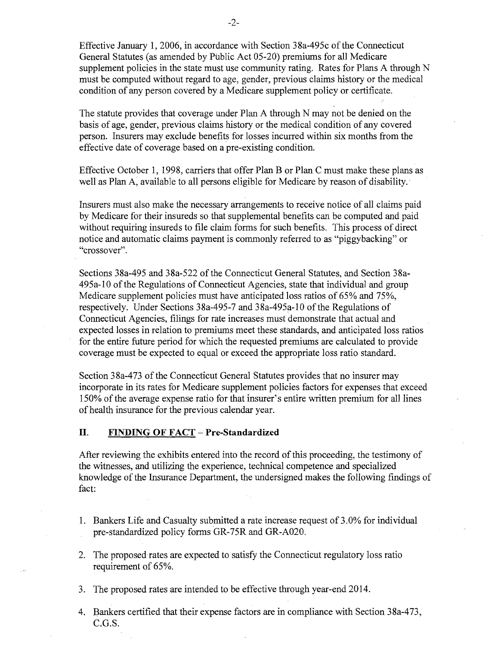Effective January 1, 2006, in accordance with Section 38a-495c of the Connecticut General Statutes (as amended by Public Act 05-20) premiums for all Medicare supplement policies in the state must use community rating. Rates for Plans A through N must be computed without regard to age, gender, previous claims history or the medical condition of any person covered by a Medicare supplement policy or certificate.

The statute provides that coverage under Plan A through N may not be denied on the basis of age, gender, previous claims history or the medical condition of any covered person. Insurers may exclude benefits for losses incurred within six months from the effective date of coverage based on a pre-existing condition.

Effective October 1, 1998, carriers that offer Plan B or Plan C must make these plans as well as Plan A, available to all persons eligible for Medicare by reason of disability. '

Insurers must also make the necessary arrangements to receive notice of all claims paid by Medicare for their insureds so that supplemental benefits can be computed and paid without requiring insureds to file claim forms for such benefits. This process of direct notice and automatic claims payment is commonly referred to as "piggybacking" or "crossover".

Sections 38a-495 and 38a-522 of the Connecticut General Statutes, and Section 38a-495a-10 of the Regulations of Connecticut Agencies, state that individual and group Medicare supplement policies must have anticipated loss ratios of 65% and 75%, respectively. Under Sections 38a-495-7 and 38a-495a-10 of the Regulations of Connecticut Agencies, filings for rate increases must demonstrate that actual and expected losses in relation to premiums meet these standards, and anticipated loss ratios for the entire future period for which the requested premiums are calculated to provide coverage must be expected to equal or exceed the appropriate loss ratio standard.

Section 38a-473 of the Connecticut General Statutes provides that no insurer may incorporate in its rates for Medicare supplement policies factors for expenses that exceed 150% of the average expense ratio for that insurer's entire written premium for all lines of health insurance for the previous calendar year.

#### **II. FINDING OF FACT - Pre-Standardized**

After reviewing the exhibits entered into the record of this proceeding, the testimony of the witnesses, and utilizing the experience, technical competence and specialized knowledge of the Insurance Department, the undersigned makes the following findings of fact:

- 1. Bankers Life and Casualty submitted a rate increase request of 3.0% for individual pre-standardized policy forms GR-75R and GR-A020.
- 2. The proposed rates are expected to satisfy the Connecticut regulatory loss ratio requirement of 65%.
- 3. The proposed rates are intended to be effective through year-end 2014.
- 4. Bankers certified that their expense factors are in compliance with Section 38a-473, C.G.S.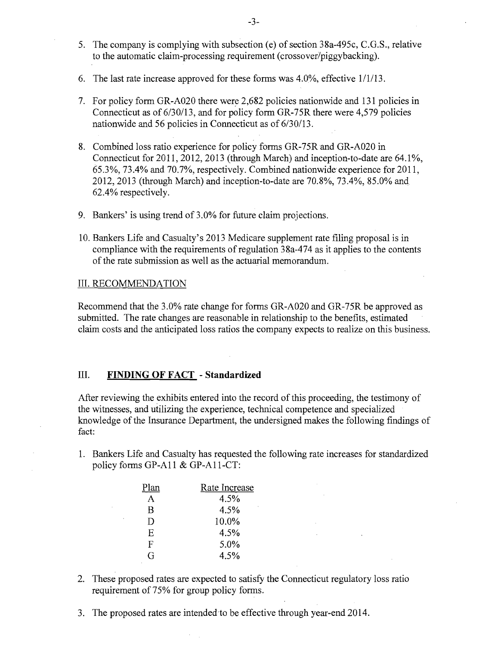- 5. The company is complying with subsection (e) of section 38a-495c, C.G.S., relative to the automatic claim-processing requirement (crossover/piggybacking).
- 6. The last rate increase approved for these forms was  $4.0\%$ , effective  $1/1/13$ .
- 7. For policy form GR-A020 there were 2,682 policies nationwide and 131 policies in Connecticut as of 6/30/13, and for policy form GR-75R there were 4,579 policies nationwide and 56 policies in Connecticut as of 6/30/13.
- 8. Combined loss ratio experience for policy forms GR-75R and GR-A020 in Connecticut for 2011, 2012, 2013 (through March) and inception-to-date are 64.1%, 65.3%,73.4% and 70.7%, respectively. Combined nationwide experience for 2011, 2012,2013 (through March) and inception-to-date are 70.8%, 73.4%, 85.0% and 62.4% respectively.
- 9. Bankers' is using trend of 3.0% for future claim projections.
- 10. Bankers Life and Casualty's 2013 Medicare supplement rate filing proposal is in compliance with the requirements of regulation 38a-474 as it applies to the contents of the rate submission as well as the actuarial memorandum.

#### III. RECOMMENDATION

Recommend that the 3.0% rate change for forms GR-A020 and GR-75R be approved as submitted. The rate changes are reasonable in relationship to the benefits, estimated claim costs and the anticipated loss ratios the company expects to realize on this business.

#### III. **FINDING OF FACT - Standardized**

After reviewing the exhibits entered into the record of this proceeding, the testimony of the witnesses, and utilizing the experience, technical competence and specialized knowledge of the Insurance Department, the undersigned makes the following findings of fact:

1. Bankers Life and Casualty has requested the following rate increases for standardized policy forms GP-All & GP-AII-CT:

| Plan         | Rate Increase |
|--------------|---------------|
| A            | 4.5%          |
| B            | 4.5%          |
| $\mathbf{D}$ | 10.0%         |
| E.           | 4.5%          |
| F            | 5.0%          |
| G            | 4.5%          |

- 2. These proposed rates are expected to satisfy the Connecticut regulatory loss ratio requirement of 75% for group policy forms.
- 3. The proposed rates are intended to be effective through year-end 2014.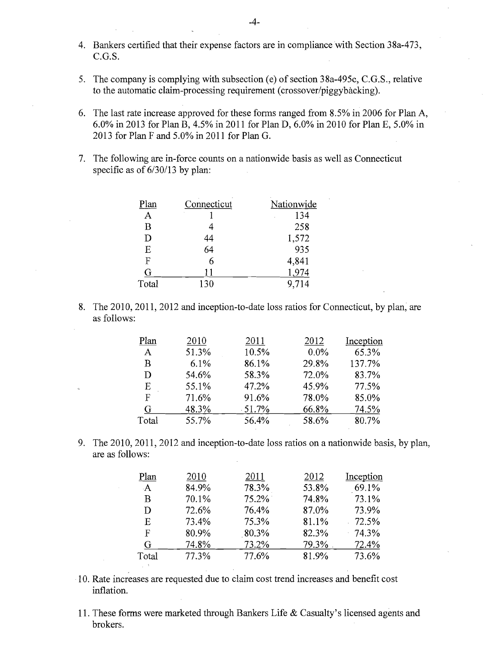- 4. Bankers certified that their expense factors are in compliance with Section 38a-473, C.G.S.
- 5. The company is complying with subsection (e) of section 38a-495c, C.G.S., relative to the automatic claim-processing requirement (crossover/piggybacking).
- 6. The last rate increase approved for these forms ranged from 8.5% in 2006 for Plan A, 6.0% in 2013 for Plan B, 4.5% in 2011 for Plan D, 6.0% in 2010 for Plan E, 5.0% in 2013 for Plan F and 5.0% in 2011 for Plan G.
- 7. The following are in-force counts on a nationwide basis as well as Connecticut specific as of  $6/30/13$  by plan:

| Plan  | Connecticut | Nationwide |
|-------|-------------|------------|
| A     |             | 134        |
| B     |             | 258        |
| D     | 44          | 1,572      |
| E     | 64          | 935        |
| F     | 6           | 4,841      |
| G     | 11          | 1,974      |
| Total | 130         | 9.714      |

8. The 2010, 2011, 2012 and inception-to-date loss ratios for Connecticut, by plan, are as follows:

| Plan         | 2010  | 2011     | 2012    | Inception |
|--------------|-------|----------|---------|-----------|
| $\mathsf{A}$ | 51.3% | 10.5%    | $0.0\%$ | 65.3%     |
| B            | 6.1%  | 86.1%    | 29.8%   | 137.7%    |
| D            | 54.6% | 58.3%    | 72.0%   | 83.7%     |
| E            | 55.1% | 47.2%    | 45.9%   | 77.5%     |
| $\mathbf F$  | 71.6% | 91.6%    | 78.0%   | 85.0%     |
| G            | 48.3% | $-51.7%$ | 66.8%   | 74.5%     |
| Total        | 55.7% | 56.4%    | 58.6%   | 80.7%     |

9. The 2010, 2011, 2012 and inception-to-date loss ratios on a nationwide basis, by plan, are as follows:

| Plan         | 2010  | 2011  | 2012  | Inception |
|--------------|-------|-------|-------|-----------|
| $\mathbf{A}$ | 84.9% | 78.3% | 53.8% | 69.1%     |
| B            | 70.1% | 75.2% | 74.8% | 73.1%     |
| D            | 72.6% | 76.4% | 87.0% | 73.9%     |
| E            | 73.4% | 75.3% | 81.1% | $-72.5%$  |
| $\mathbf{F}$ | 80.9% | 80.3% | 82.3% | 74.3%     |
| G            | 74.8% | 73.2% | 79.3% | 72.4%     |
| Total        | 77.3% | 77.6% | 81.9% | 73.6%     |
|              |       |       |       |           |

- 10. Rate increases are requested due to claim cost trend increases and benefit cost inflation.
- 11. These forms were marketed through Bankers Life & Casualty's licensed agents and brokers.